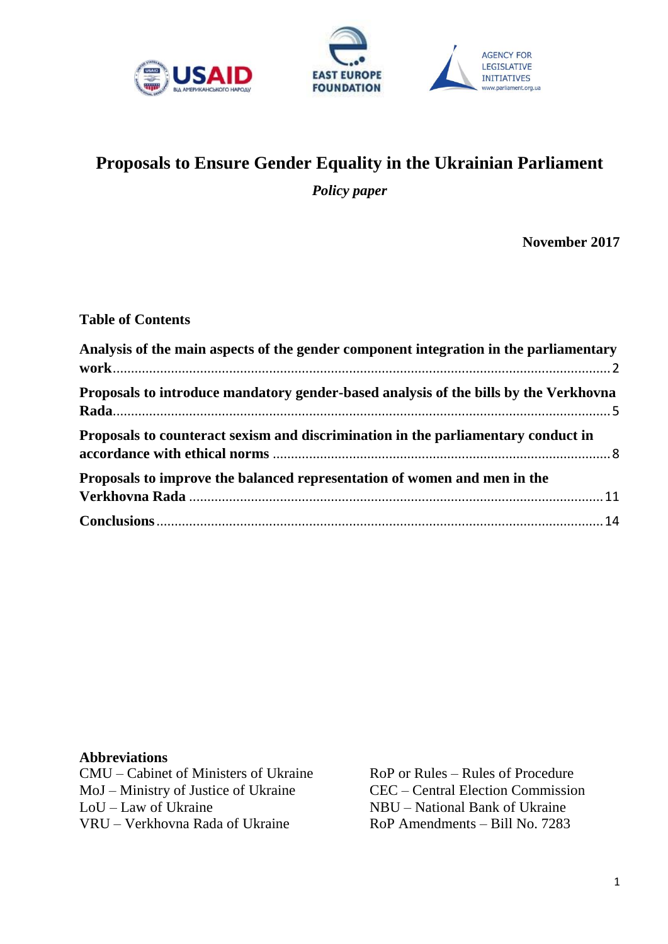



# **Proposals to Ensure Gender Equality in the Ukrainian Parliament**

*Policy paper*

**November 2017**

**AGENCY FOR** LEGISLATIVE

**INITIATIVES** 

rliament.org.ua

#### **Table of Contents**

| Analysis of the main aspects of the gender component integration in the parliamentary |  |
|---------------------------------------------------------------------------------------|--|
| Proposals to introduce mandatory gender-based analysis of the bills by the Verkhovna  |  |
| Proposals to counteract sexism and discrimination in the parliamentary conduct in     |  |
| Proposals to improve the balanced representation of women and men in the              |  |
|                                                                                       |  |

#### **Abbreviations**

CMU – Cabinet of Ministers of Ukraine MoJ – Ministry of Justice of Ukraine LoU – Law of Ukraine VRU – Verkhovna Rada of Ukraine

RoP or Rules – Rules of Procedure CEC – Central Election Commission NBU – National Bank of Ukraine RoP Amendments – Bill No. 7283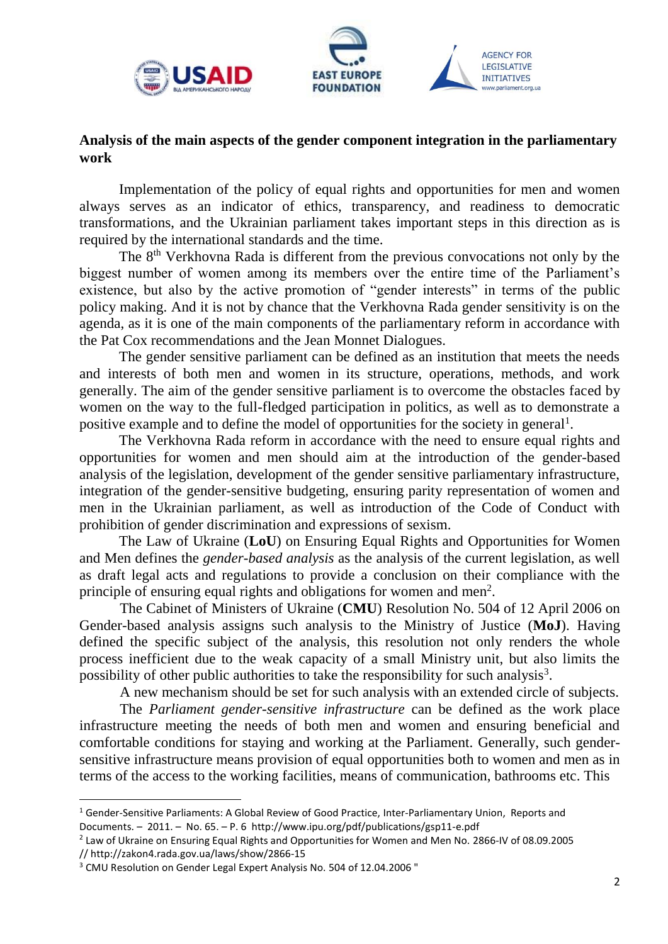<span id="page-1-0"></span>



w.parliament.org.ua

## **Analysis of the main aspects of the gender component integration in the parliamentary work**

Implementation of the policy of equal rights and opportunities for men and women always serves as an indicator of ethics, transparency, and readiness to democratic transformations, and the Ukrainian parliament takes important steps in this direction as is required by the international standards and the time.

The 8th Verkhovna Rada is different from the previous convocations not only by the biggest number of women among its members over the entire time of the Parliament's existence, but also by the active promotion of "gender interests" in terms of the public policy making. And it is not by chance that the Verkhovna Rada gender sensitivity is on the agenda, as it is one of the main components of the parliamentary reform in accordance with the Pat Cox recommendations and the Jean Monnet Dialogues.

The gender sensitive parliament can be defined as an institution that meets the needs and interests of both men and women in its structure, operations, methods, and work generally. The aim of the gender sensitive parliament is to overcome the obstacles faced by women on the way to the full-fledged participation in politics, as well as to demonstrate a positive example and to define the model of opportunities for the society in general<sup>1</sup>.

The Verkhovna Rada reform in accordance with the need to ensure equal rights and opportunities for women and men should aim at the introduction of the gender-based analysis of the legislation, development of the gender sensitive parliamentary infrastructure, integration of the gender-sensitive budgeting, ensuring parity representation of women and men in the Ukrainian parliament, as well as introduction of the Code of Conduct with prohibition of gender discrimination and expressions of sexism.

The Law of Ukraine (**LoU**) on Ensuring Equal Rights and Opportunities for Women and Men defines the *gender-based analysis* as the analysis of the current legislation, as well as draft legal acts and regulations to provide a conclusion on their compliance with the principle of ensuring equal rights and obligations for women and men<sup>2</sup>.

The Cabinet of Ministers of Ukraine (**CMU**) Resolution No. 504 of 12 April 2006 on Gender-based analysis assigns such analysis to the Ministry of Justice (**MoJ**). Having defined the specific subject of the analysis, this resolution not only renders the whole process inefficient due to the weak capacity of a small Ministry unit, but also limits the possibility of other public authorities to take the responsibility for such analysis<sup>3</sup>.

A new mechanism should be set for such analysis with an extended circle of subjects.

The *Parliament gender-sensitive infrastructure* can be defined as the work place infrastructure meeting the needs of both men and women and ensuring beneficial and comfortable conditions for staying and working at the Parliament. Generally, such gendersensitive infrastructure means provision of equal opportunities both to women and men as in terms of the access to the working facilities, means of communication, bathrooms etc. This

<sup>&</sup>lt;sup>1</sup> Gender-Sensitive Parliaments: A Global Review of Good Practice, Inter-Parliamentary Union, Reports and Documents. – 2011. – No. 65. – P. 6 http://www.ipu.org/pdf/publications/gsp11-e.pdf

<sup>&</sup>lt;sup>2</sup> Law of Ukraine on Ensuring Equal Rights and Opportunities for Women and Men No. 2866-IV of 08.09.2005 // http://zakon4.rada.gov.ua/laws/show/2866-15

<sup>3</sup> CMU Resolution on Gender Legal Expert Analysis No. 504 of 12.04.2006 "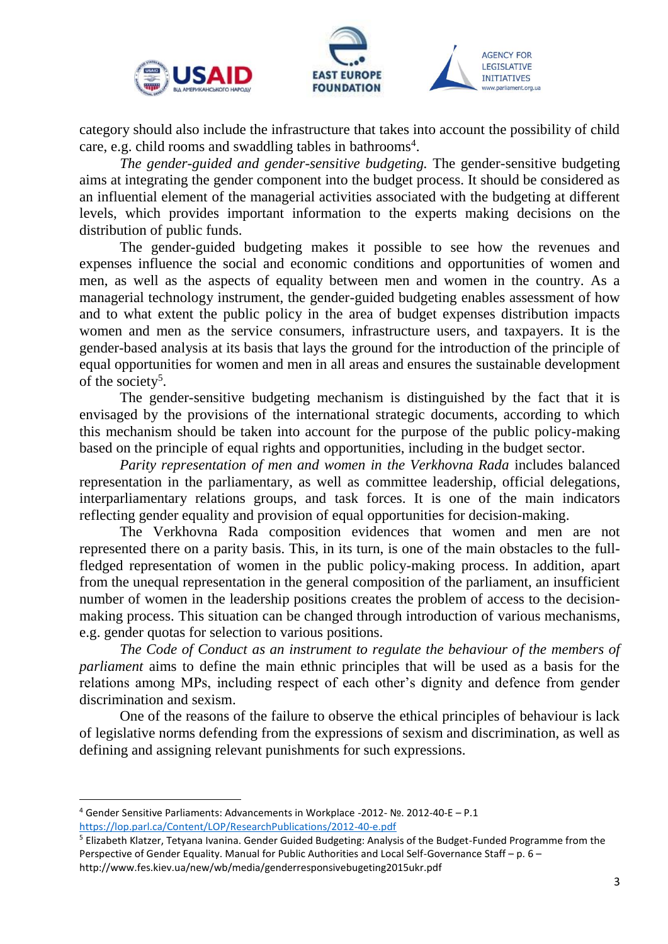





*The gender-guided and gender-sensitive budgeting.* The gender-sensitive budgeting aims at integrating the gender component into the budget process. It should be considered as an influential element of the managerial activities associated with the budgeting at different levels, which provides important information to the experts making decisions on the distribution of public funds.

The gender-guided budgeting makes it possible to see how the revenues and expenses influence the social and economic conditions and opportunities of women and men, as well as the aspects of equality between men and women in the country. As a managerial technology instrument, the gender-guided budgeting enables assessment of how and to what extent the public policy in the area of budget expenses distribution impacts women and men as the service consumers, infrastructure users, and taxpayers. It is the gender-based analysis at its basis that lays the ground for the introduction of the principle of equal opportunities for women and men in all areas and ensures the sustainable development of the society<sup>5</sup>.

The gender-sensitive budgeting mechanism is distinguished by the fact that it is envisaged by the provisions of the international strategic documents, according to which this mechanism should be taken into account for the purpose of the public policy-making based on the principle of equal rights and opportunities, including in the budget sector.

*Parity representation of men and women in the Verkhovna Rada* includes balanced representation in the parliamentary, as well as committee leadership, official delegations, interparliamentary relations groups, and task forces. It is one of the main indicators reflecting gender equality and provision of equal opportunities for decision-making.

The Verkhovna Rada composition evidences that women and men are not represented there on a parity basis. This, in its turn, is one of the main obstacles to the fullfledged representation of women in the public policy-making process. In addition, apart from the unequal representation in the general composition of the parliament, an insufficient number of women in the leadership positions creates the problem of access to the decisionmaking process. This situation can be changed through introduction of various mechanisms, e.g. gender quotas for selection to various positions.

*The Code of Conduct as an instrument to regulate the behaviour of the members of parliament* aims to define the main ethnic principles that will be used as a basis for the relations among MPs, including respect of each other's dignity and defence from gender discrimination and sexism.

One of the reasons of the failure to observe the ethical principles of behaviour is lack of legislative norms defending from the expressions of sexism and discrimination, as well as defining and assigning relevant punishments for such expressions.

<sup>4</sup> Gender Sensitive Parliaments: Advancements in Workplace -2012- №. 2012-40-E – P.1 <https://lop.parl.ca/Content/LOP/ResearchPublications/2012-40-e.pdf>

<sup>5</sup> Elizabeth Klatzer, Tetyana Ivanina. Gender Guided Budgeting: Analysis of the Budget-Funded Programme from the Perspective of Gender Equality. Manual for Public Authorities and Local Self-Governance Staff – p. 6 – http://www.fes.kiev.ua/new/wb/media/genderresponsivebugeting2015ukr.pdf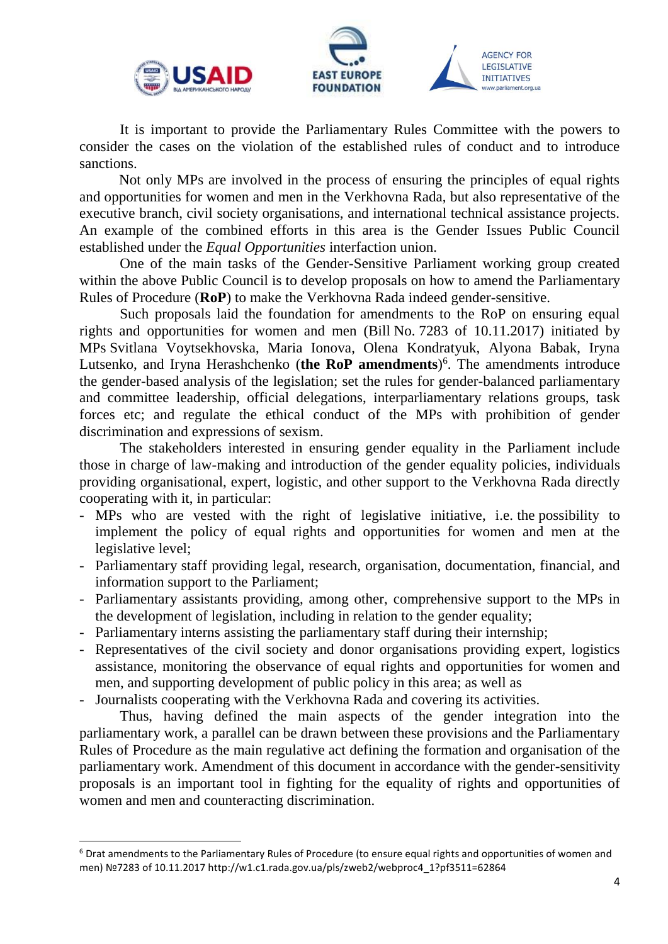



It is important to provide the Parliamentary Rules Committee with the powers to consider the cases on the violation of the established rules of conduct and to introduce sanctions.

Not only MPs are involved in the process of ensuring the principles of equal rights and opportunities for women and men in the Verkhovna Rada, but also representative of the executive branch, civil society organisations, and international technical assistance projects. An example of the combined efforts in this area is the Gender Issues Public Council established under the *Equal Opportunities* interfaction union.

One of the main tasks of the Gender-Sensitive Parliament working group created within the above Public Council is to develop proposals on how to amend the Parliamentary Rules of Procedure (**RoP**) to make the Verkhovna Rada indeed gender-sensitive.

Such proposals laid the foundation for amendments to the RoP on ensuring equal rights and opportunities for women and men (Bill No. 7283 of 10.11.2017) initiated by MPs Svitlana Voytsekhovska, Maria Ionova, Olena Kondratyuk, Alyona Babak, Iryna Lutsenko, and Iryna Herashchenko (**the RoP amendments**) 6 . The amendments introduce the gender-based analysis of the legislation; set the rules for gender-balanced parliamentary and committee leadership, official delegations, interparliamentary relations groups, task forces etc; and regulate the ethical conduct of the MPs with prohibition of gender discrimination and expressions of sexism.

The stakeholders interested in ensuring gender equality in the Parliament include those in charge of law-making and introduction of the gender equality policies, individuals providing organisational, expert, logistic, and other support to the Verkhovna Rada directly cooperating with it, in particular:

- MPs who are vested with the right of legislative initiative, i.e. the possibility to implement the policy of equal rights and opportunities for women and men at the legislative level;
- Parliamentary staff providing legal, research, organisation, documentation, financial, and information support to the Parliament;
- Parliamentary assistants providing, among other, comprehensive support to the MPs in the development of legislation, including in relation to the gender equality;
- Parliamentary interns assisting the parliamentary staff during their internship;
- Representatives of the civil society and donor organisations providing expert, logistics assistance, monitoring the observance of equal rights and opportunities for women and men, and supporting development of public policy in this area; as well as
- Journalists cooperating with the Verkhovna Rada and covering its activities.

**.** 

Thus, having defined the main aspects of the gender integration into the parliamentary work, a parallel can be drawn between these provisions and the Parliamentary Rules of Procedure as the main regulative act defining the formation and organisation of the parliamentary work. Amendment of this document in accordance with the gender-sensitivity proposals is an important tool in fighting for the equality of rights and opportunities of women and men and counteracting discrimination.

<sup>6</sup> Drat amendments to the Parliamentary Rules of Procedure (to ensure equal rights and opportunities of women and men) №7283 of 10.11.2017 http://w1.c1.rada.gov.ua/pls/zweb2/webproc4\_1?pf3511=62864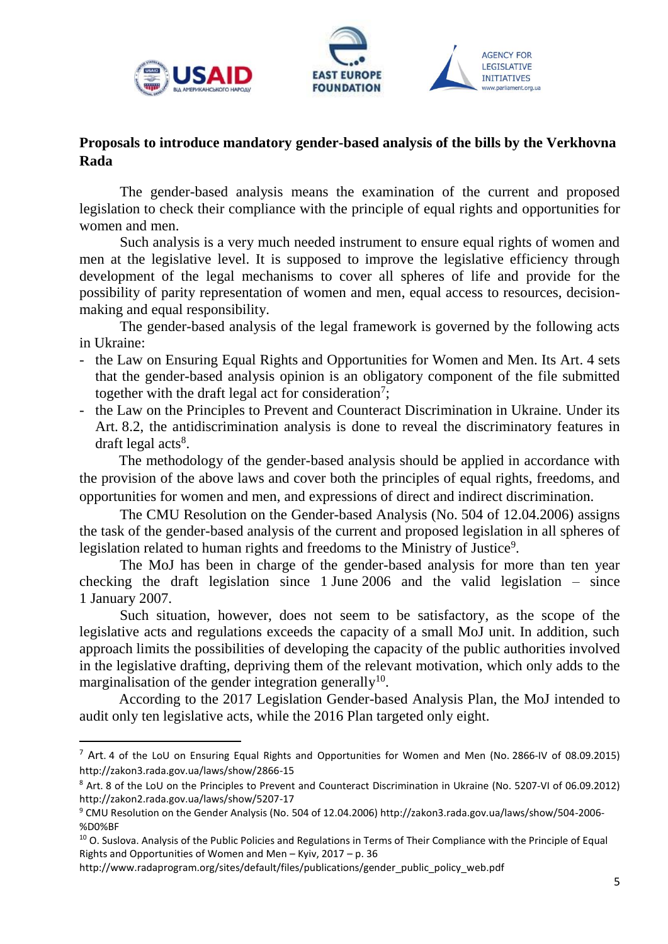<span id="page-4-0"></span>





## **Proposals to introduce mandatory gender-based analysis of the bills by the Verkhovna Rada**

The gender-based analysis means the examination of the current and proposed legislation to check their compliance with the principle of equal rights and opportunities for women and men.

Such analysis is a very much needed instrument to ensure equal rights of women and men at the legislative level. It is supposed to improve the legislative efficiency through development of the legal mechanisms to cover all spheres of life and provide for the possibility of parity representation of women and men, equal access to resources, decisionmaking and equal responsibility.

The gender-based analysis of the legal framework is governed by the following acts in Ukraine:

- the Law on Ensuring Equal Rights and Opportunities for Women and Men. Its Art. 4 sets that the gender-based analysis opinion is an obligatory component of the file submitted together with the draft legal act for consideration<sup>7</sup>;
- the Law on the Principles to Prevent and Counteract Discrimination in Ukraine. Under its Art. 8.2, the antidiscrimination analysis is done to reveal the discriminatory features in draft legal acts<sup>8</sup>.

The methodology of the gender-based analysis should be applied in accordance with the provision of the above laws and cover both the principles of equal rights, freedoms, and opportunities for women and men, and expressions of direct and indirect discrimination.

The CMU Resolution on the Gender-based Analysis (No. 504 of 12.04.2006) assigns the task of the gender-based analysis of the current and proposed legislation in all spheres of legislation related to human rights and freedoms to the Ministry of Justice<sup>9</sup>.

The MoJ has been in charge of the gender-based analysis for more than ten year checking the draft legislation since 1 June 2006 and the valid legislation – since 1 January 2007.

Such situation, however, does not seem to be satisfactory, as the scope of the legislative acts and regulations exceeds the capacity of a small MoJ unit. In addition, such approach limits the possibilities of developing the capacity of the public authorities involved in the legislative drafting, depriving them of the relevant motivation, which only adds to the marginalisation of the gender integration generally<sup>10</sup>.

According to the 2017 Legislation Gender-based Analysis Plan, the MoJ intended to audit only ten legislative acts, while the 2016 Plan targeted only eight.

 $^7$  Art. 4 of the LoU on Ensuring Equal Rights and Opportunities for Women and Men (No. 2866-IV of 08.09.2015) <http://zakon3.rada.gov.ua/laws/show/2866-15>

<sup>8</sup> Art. 8 of the LoU on the Principles to Prevent and Counteract Discrimination in Ukraine (No. 5207-VI of 06.09.2012) <http://zakon2.rada.gov.ua/laws/show/5207-17>

<sup>9</sup> CMU Resolution on the Gender Analysis (No. 504 of 12.04.2006) [http://zakon3.rada.gov.ua/laws/show/504-2006-](http://zakon3.rada.gov.ua/laws/show/504-2006-%D0%BF) [%D0%BF](http://zakon3.rada.gov.ua/laws/show/504-2006-%D0%BF)

<sup>&</sup>lt;sup>10</sup> O. Suslova. Analysis of the Public Policies and Regulations in Terms of Their Compliance with the Principle of Equal Rights and Opportunities of Women and Men – Kyiv, 2017 – p. 36

http://www.radaprogram.org/sites/default/files/publications/gender\_public\_policy\_web.pdf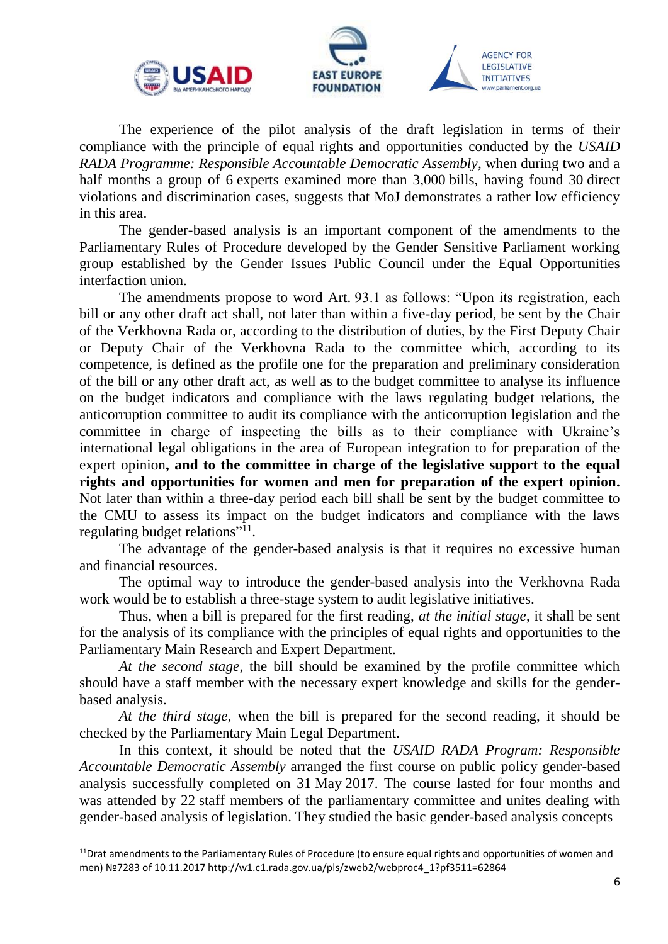

**.** 



**AGENCY FOR** LEGISLATIVE **INITIATIVES** 

The experience of the pilot analysis of the draft legislation in terms of their compliance with the principle of equal rights and opportunities conducted by the *USAID RADA Programme: Responsible Accountable Democratic Assembly*, when during two and a half months a group of 6 experts examined more than 3,000 bills, having found 30 direct violations and discrimination cases, suggests that MoJ demonstrates a rather low efficiency in this area.

The gender-based analysis is an important component of the amendments to the Parliamentary Rules of Procedure developed by the Gender Sensitive Parliament working group established by the Gender Issues Public Council under the Equal Opportunities interfaction union.

The amendments propose to word Art. 93.1 as follows: "Upon its registration, each bill or any other draft act shall, not later than within a five-day period, be sent by the Chair of the Verkhovna Rada or, according to the distribution of duties, by the First Deputy Chair or Deputy Chair of the Verkhovna Rada to the committee which, according to its competence, is defined as the profile one for the preparation and preliminary consideration of the bill or any other draft act, as well as to the budget committee to analyse its influence on the budget indicators and compliance with the laws regulating budget relations, the anticorruption committee to audit its compliance with the anticorruption legislation and the committee in charge of inspecting the bills as to their compliance with Ukraine's international legal obligations in the area of European integration to for preparation of the expert opinion**, and to the committee in charge of the legislative support to the equal rights and opportunities for women and men for preparation of the expert opinion.** Not later than within a three-day period each bill shall be sent by the budget committee to the CMU to assess its impact on the budget indicators and compliance with the laws regulating budget relations"<sup>11</sup>.

The advantage of the gender-based analysis is that it requires no excessive human and financial resources.

The optimal way to introduce the gender-based analysis into the Verkhovna Rada work would be to establish a three-stage system to audit legislative initiatives.

Thus, when a bill is prepared for the first reading, *at the initial stage*, it shall be sent for the analysis of its compliance with the principles of equal rights and opportunities to the Parliamentary Main Research and Expert Department.

*At the second stage*, the bill should be examined by the profile committee which should have a staff member with the necessary expert knowledge and skills for the genderbased analysis.

*At the third stage*, when the bill is prepared for the second reading, it should be checked by the Parliamentary Main Legal Department.

In this context, it should be noted that the *USAID RADA Program: Responsible Accountable Democratic Assembly* arranged the first course on public policy gender-based analysis successfully completed on 31 May 2017. The course lasted for four months and was attended by 22 staff members of the parliamentary committee and unites dealing with gender-based analysis of legislation. They studied the basic gender-based analysis concepts

 $11$ Drat amendments to the Parliamentary Rules of Procedure (to ensure equal rights and opportunities of women and men) №7283 of 10.11.2017 http://w1.c1.rada.gov.ua/pls/zweb2/webproc4\_1?pf3511=62864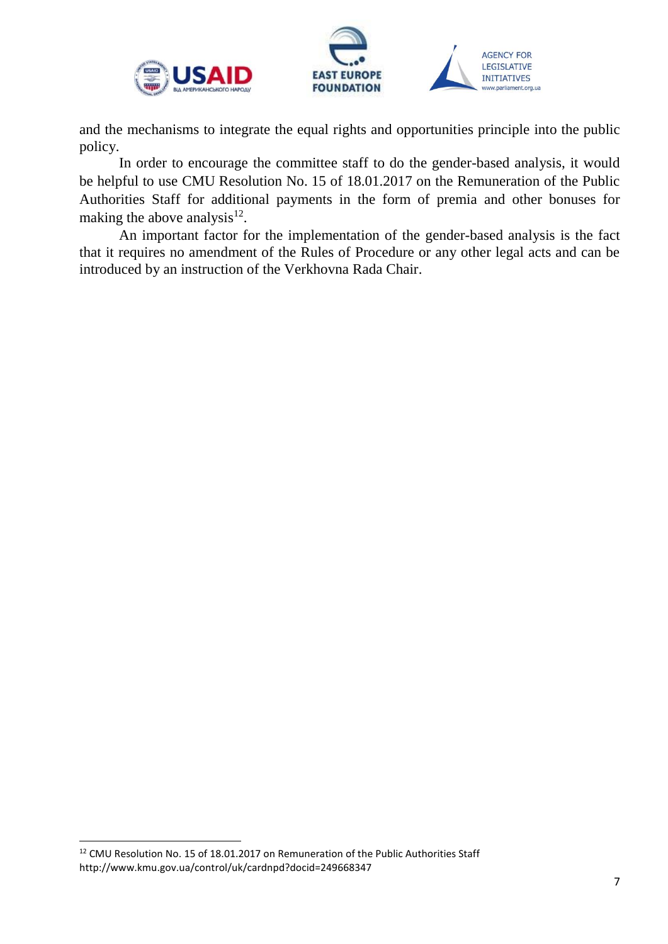

and the mechanisms to integrate the equal rights and opportunities principle into the public policy.

In order to encourage the committee staff to do the gender-based analysis, it would be helpful to use CMU Resolution No. 15 of 18.01.2017 on the Remuneration of the Public Authorities Staff for additional payments in the form of premia and other bonuses for making the above analysis $^{12}$ .

An important factor for the implementation of the gender-based analysis is the fact that it requires no amendment of the Rules of Procedure or any other legal acts and can be introduced by an instruction of the Verkhovna Rada Chair.

<sup>&</sup>lt;sup>12</sup> CMU Resolution No. 15 of 18.01.2017 on Remuneration of the Public Authorities Staff http://www.kmu.gov.ua/control/uk/cardnpd?docid=249668347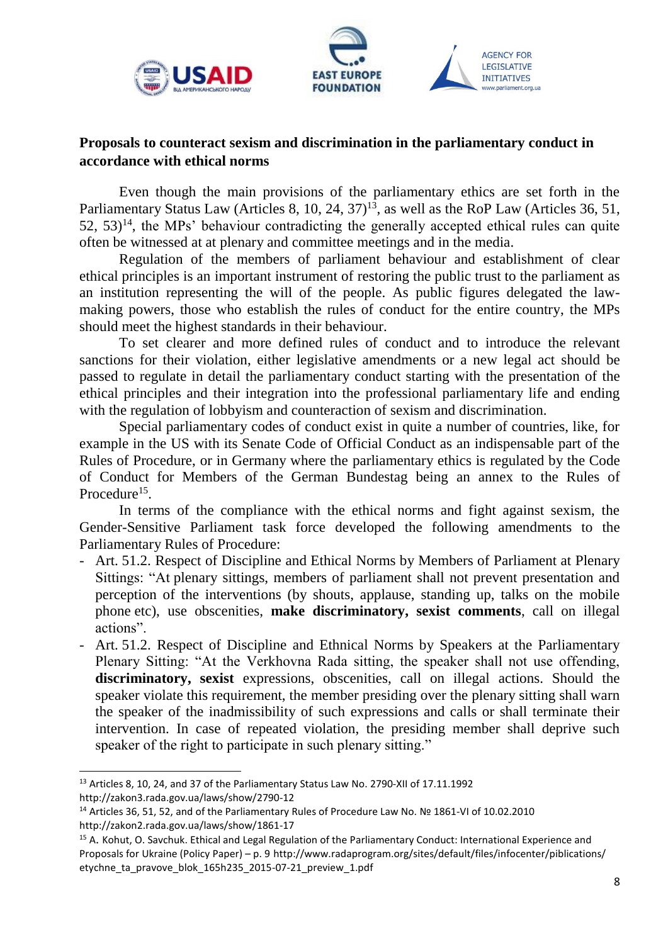<span id="page-7-0"></span>



w.parliament.org.ua

#### **Proposals to counteract sexism and discrimination in the parliamentary conduct in accordance with ethical norms**

Even though the main provisions of the parliamentary ethics are set forth in the Parliamentary Status Law (Articles 8, 10, 24, 37)<sup>13</sup>, as well as the RoP Law (Articles 36, 51,  $52, 53$ <sup>14</sup>, the MPs' behaviour contradicting the generally accepted ethical rules can quite often be witnessed at at plenary and committee meetings and in the media.

Regulation of the members of parliament behaviour and establishment of clear ethical principles is an important instrument of restoring the public trust to the parliament as an institution representing the will of the people. As public figures delegated the lawmaking powers, those who establish the rules of conduct for the entire country, the MPs should meet the highest standards in their behaviour.

To set clearer and more defined rules of conduct and to introduce the relevant sanctions for their violation, either legislative amendments or a new legal act should be passed to regulate in detail the parliamentary conduct starting with the presentation of the ethical principles and their integration into the professional parliamentary life and ending with the regulation of lobbyism and counteraction of sexism and discrimination.

Special parliamentary codes of conduct exist in quite a number of countries, like, for example in the US with its Senate Code of Official Conduct as an indispensable part of the Rules of Procedure, or in Germany where the parliamentary ethics is regulated by the Code of Conduct for Members of the German Bundestag being an annex to the Rules of Procedure<sup>15</sup>.

In terms of the compliance with the ethical norms and fight against sexism, the Gender-Sensitive Parliament task force developed the following amendments to the Parliamentary Rules of Procedure:

- Art. 51.2. Respect of Discipline and Ethical Norms by Members of Parliament at Plenary Sittings: "At plenary sittings, members of parliament shall not prevent presentation and perception of the interventions (by shouts, applause, standing up, talks on the mobile phone etc), use obscenities, **make discriminatory, sexist comments**, call on illegal actions".
- Art. 51.2. Respect of Discipline and Ethnical Norms by Speakers at the Parliamentary Plenary Sitting: "At the Verkhovna Rada sitting, the speaker shall not use offending, **discriminatory, sexist** expressions, obscenities, call on illegal actions. Should the speaker violate this requirement, the member presiding over the plenary sitting shall warn the speaker of the inadmissibility of such expressions and calls or shall terminate their intervention. In case of repeated violation, the presiding member shall deprive such speaker of the right to participate in such plenary sitting."

 $\overline{a}$ 

<sup>&</sup>lt;sup>13</sup> Articles 8, 10, 24, and 37 of the Parliamentary Status Law No. 2790-XII of 17.11.1992 http://zakon3.rada.gov.ua/laws/show/2790-12

<sup>14</sup> Articles 36, 51, 52, and of the Parliamentary Rules of Procedure Law No. № 1861-VI of 10.02.2010 http://zakon2.rada.gov.ua/laws/show/1861-17

<sup>15</sup> A. Kohut, O. Savchuk. Ethical and Legal Regulation of the Parliamentary Conduct: International Experience and Proposals for Ukraine (Policy Paper) – p. 9 http://www.radaprogram.org/sites/default/files/infocenter/piblications/ etychne\_ta\_pravove\_blok\_165h235\_2015-07-21\_preview\_1.pdf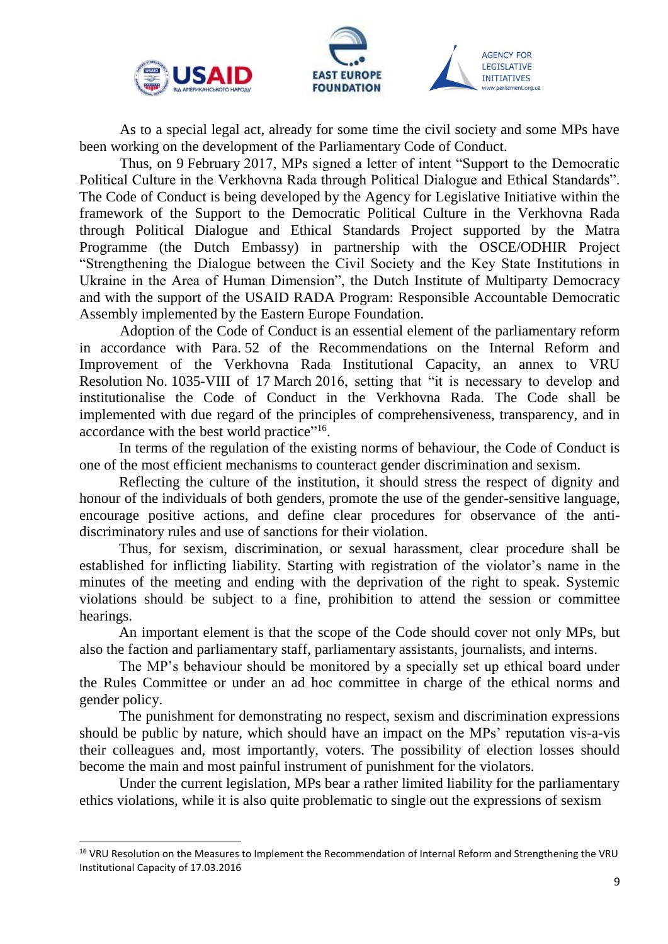

**.** 



**AGENCY FOR** LEGISLATIVE **INITIATIVES** 

As to a special legal act, already for some time the civil society and some MPs have been working on the development of the Parliamentary Code of Conduct.

Thus, on 9 February 2017, MPs signed a letter of intent "Support to the Democratic Political Culture in the Verkhovna Rada through Political Dialogue and Ethical Standards". The Code of Conduct is being developed by the Agency for Legislative Initiative within the framework of the Support to the Democratic Political Culture in the Verkhovna Rada through Political Dialogue and Ethical Standards Project supported by the Matra Programme (the Dutch Embassy) in partnership with the OSCE/ODHIR Project "Strengthening the Dialogue between the Civil Society and the Key State Institutions in Ukraine in the Area of Human Dimension", the Dutch Institute of Multiparty Democracy and with the support of the USAID RADA Program: Responsible Accountable Democratic Assembly implemented by the Eastern Europe Foundation.

Adoption of the Code of Conduct is an essential element of the parliamentary reform in accordance with Para. 52 of the Recommendations on the Internal Reform and Improvement of the Verkhovna Rada Institutional Capacity, an annex to VRU Resolution No. 1035-VIII of 17 March 2016, setting that "it is necessary to develop and institutionalise the Code of Conduct in the Verkhovna Rada. The Code shall be implemented with due regard of the principles of comprehensiveness, transparency, and in accordance with the best world practice"<sup>16</sup>.

In terms of the regulation of the existing norms of behaviour, the Code of Conduct is one of the most efficient mechanisms to counteract gender discrimination and sexism.

Reflecting the culture of the institution, it should stress the respect of dignity and honour of the individuals of both genders, promote the use of the gender-sensitive language, encourage positive actions, and define clear procedures for observance of the antidiscriminatory rules and use of sanctions for their violation.

Thus, for sexism, discrimination, or sexual harassment, clear procedure shall be established for inflicting liability. Starting with registration of the violator's name in the minutes of the meeting and ending with the deprivation of the right to speak. Systemic violations should be subject to a fine, prohibition to attend the session or committee hearings.

An important element is that the scope of the Code should cover not only MPs, but also the faction and parliamentary staff, parliamentary assistants, journalists, and interns.

The MP's behaviour should be monitored by a specially set up ethical board under the Rules Committee or under an ad hoc committee in charge of the ethical norms and gender policy.

The punishment for demonstrating no respect, sexism and discrimination expressions should be public by nature, which should have an impact on the MPs' reputation vis-a-vis their colleagues and, most importantly, voters. The possibility of election losses should become the main and most painful instrument of punishment for the violators.

Under the current legislation, MPs bear a rather limited liability for the parliamentary ethics violations, while it is also quite problematic to single out the expressions of sexism

<sup>&</sup>lt;sup>16</sup> VRU Resolution on the Measures to Implement the Recommendation of Internal Reform and Strengthening the VRU Institutional Capacity of 17.03.2016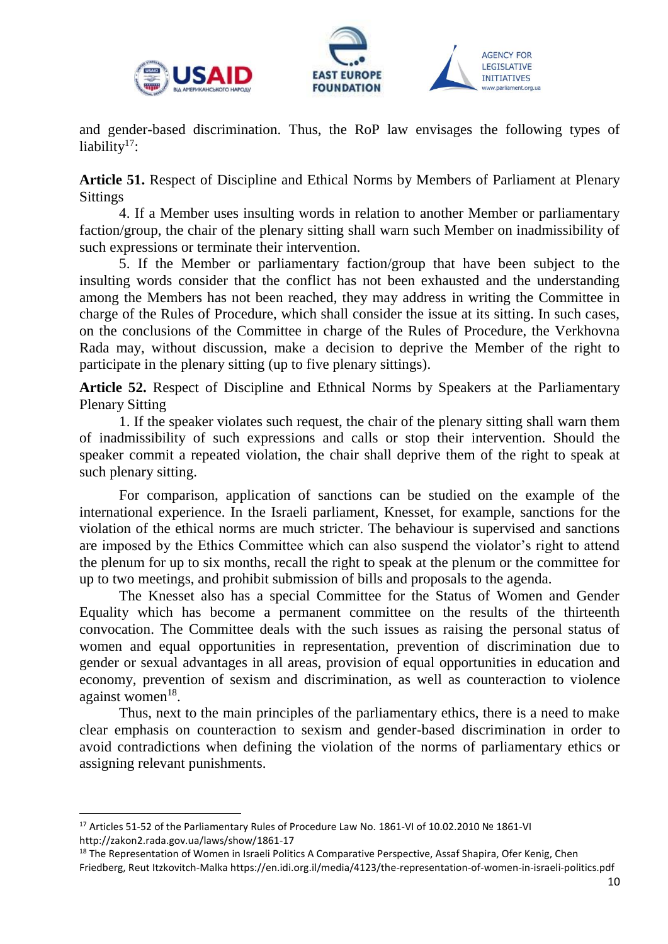





**Article 51.** Respect of Discipline and Ethical Norms by Members of Parliament at Plenary **Sittings** 

4. If a Member uses insulting words in relation to another Member or parliamentary faction/group, the chair of the plenary sitting shall warn such Member on inadmissibility of such expressions or terminate their intervention.

5. If the Member or parliamentary faction/group that have been subject to the insulting words consider that the conflict has not been exhausted and the understanding among the Members has not been reached, they may address in writing the Committee in charge of the Rules of Procedure, which shall consider the issue at its sitting. In such cases, on the conclusions of the Committee in charge of the Rules of Procedure, the Verkhovna Rada may, without discussion, make a decision to deprive the Member of the right to participate in the plenary sitting (up to five plenary sittings).

**Article 52.** Respect of Discipline and Ethnical Norms by Speakers at the Parliamentary Plenary Sitting

1. If the speaker violates such request, the chair of the plenary sitting shall warn them of inadmissibility of such expressions and calls or stop their intervention. Should the speaker commit a repeated violation, the chair shall deprive them of the right to speak at such plenary sitting.

For comparison, application of sanctions can be studied on the example of the international experience. In the Israeli parliament, Knesset, for example, sanctions for the violation of the ethical norms are much stricter. The behaviour is supervised and sanctions are imposed by the Ethics Committee which can also suspend the violator's right to attend the plenum for up to six months, recall the right to speak at the plenum or the committee for up to two meetings, and prohibit submission of bills and proposals to the agenda.

The Knesset also has a special Committee for the Status of Women and Gender Equality which has become a permanent committee on the results of the thirteenth convocation. The Committee deals with the such issues as raising the personal status of women and equal opportunities in representation, prevention of discrimination due to gender or sexual advantages in all areas, provision of equal opportunities in education and economy, prevention of sexism and discrimination, as well as counteraction to violence against women<sup>18</sup>.

Thus, next to the main principles of the parliamentary ethics, there is a need to make clear emphasis on counteraction to sexism and gender-based discrimination in order to avoid contradictions when defining the violation of the norms of parliamentary ethics or assigning relevant punishments.

1

<sup>17</sup> Articles 51-52 of the Parliamentary Rules of Procedure Law No. 1861-VI of 10.02.2010 № 1861-VI http://zakon2.rada.gov.ua/laws/show/1861-17

<sup>&</sup>lt;sup>18</sup> The Representation of Women in Israeli Politics A Comparative Perspective, Assaf Shapira, Ofer Kenig, Chen Friedberg, Reut Itzkovitch-Malka https://en.idi.org.il/media/4123/the-representation-of-women-in-israeli-politics.pdf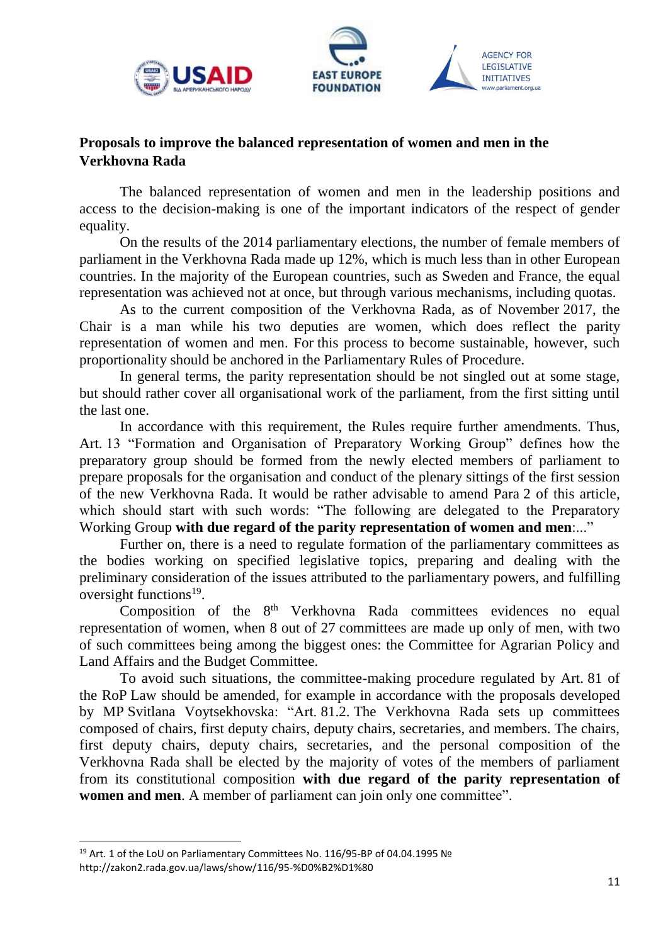<span id="page-10-0"></span>





## **Proposals to improve the balanced representation of women and men in the Verkhovna Rada**

The balanced representation of women and men in the leadership positions and access to the decision-making is one of the important indicators of the respect of gender equality.

On the results of the 2014 parliamentary elections, the number of female members of parliament in the Verkhovna Rada made up 12%, which is much less than in other European countries. In the majority of the European countries, such as Sweden and France, the equal representation was achieved not at once, but through various mechanisms, including quotas.

As to the current composition of the Verkhovna Rada, as of November 2017, the Chair is a man while his two deputies are women, which does reflect the parity representation of women and men. For this process to become sustainable, however, such proportionality should be anchored in the Parliamentary Rules of Procedure.

In general terms, the parity representation should be not singled out at some stage, but should rather cover all organisational work of the parliament, from the first sitting until the last one.

In accordance with this requirement, the Rules require further amendments. Thus, Art. 13 "Formation and Organisation of Preparatory Working Group" defines how the preparatory group should be formed from the newly elected members of parliament to prepare proposals for the organisation and conduct of the plenary sittings of the first session of the new Verkhovna Rada. It would be rather advisable to amend Para 2 of this article, which should start with such words: "The following are delegated to the Preparatory Working Group **with due regard of the parity representation of women and men**:..."

Further on, there is a need to regulate formation of the parliamentary committees as the bodies working on specified legislative topics, preparing and dealing with the preliminary consideration of the issues attributed to the parliamentary powers, and fulfilling oversight functions<sup>19</sup>.

Composition of the 8<sup>th</sup> Verkhovna Rada committees evidences no equal representation of women, when 8 out of 27 committees are made up only of men, with two of such committees being among the biggest ones: the Committee for Agrarian Policy and Land Affairs and the Budget Committee.

To avoid such situations, the committee-making procedure regulated by Art. 81 of the RoP Law should be amended, for example in accordance with the proposals developed by MP Svitlana Voytsekhovska: "Art. 81.2. The Verkhovna Rada sets up committees composed of chairs, first deputy chairs, deputy chairs, secretaries, and members. The chairs, first deputy chairs, deputy chairs, secretaries, and the personal composition of the Verkhovna Rada shall be elected by the majority of votes of the members of parliament from its constitutional composition **with due regard of the parity representation of women and men**. A member of parliament can join only one committee".

<sup>19</sup> Art. 1 of the LoU on Parliamentary Committees No. 116/95-ВР of 04.04.1995 № http://zakon2.rada.gov.ua/laws/show/116/95-%D0%B2%D1%80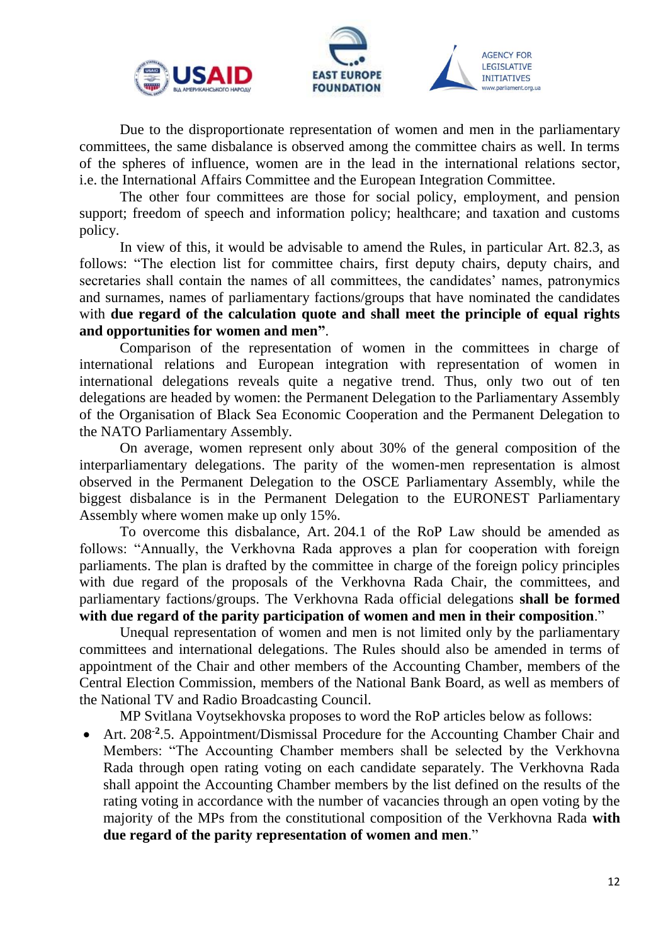



Due to the disproportionate representation of women and men in the parliamentary committees, the same disbalance is observed among the committee chairs as well. In terms of the spheres of influence, women are in the lead in the international relations sector, i.e. the International Affairs Committee and the European Integration Committee.

The other four committees are those for social policy, employment, and pension support; freedom of speech and information policy; healthcare; and taxation and customs policy.

In view of this, it would be advisable to amend the Rules, in particular Art. 82.3, as follows: "The election list for committee chairs, first deputy chairs, deputy chairs, and secretaries shall contain the names of all committees, the candidates' names, patronymics and surnames, names of parliamentary factions/groups that have nominated the candidates with **due regard of the calculation quote and shall meet the principle of equal rights and opportunities for women and men"**.

Comparison of the representation of women in the committees in charge of international relations and European integration with representation of women in international delegations reveals quite a negative trend. Thus, only two out of ten delegations are headed by women: the Permanent Delegation to the Parliamentary Assembly of the Organisation of Black Sea Economic Cooperation and the Permanent Delegation to the NATO Parliamentary Assembly.

On average, women represent only about 30% of the general composition of the interparliamentary delegations. The parity of the women-men representation is almost observed in the Permanent Delegation to the OSCE Parliamentary Assembly, while the biggest disbalance is in the Permanent Delegation to the EURONEST Parliamentary Assembly where women make up only 15%.

To overcome this disbalance, Art. 204.1 of the RoP Law should be amended as follows: "Annually, the Verkhovna Rada approves a plan for cooperation with foreign parliaments. The plan is drafted by the committee in charge of the foreign policy principles with due regard of the proposals of the Verkhovna Rada Chair, the committees, and parliamentary factions/groups. The Verkhovna Rada official delegations **shall be formed with due regard of the parity participation of women and men in their composition**."

Unequal representation of women and men is not limited only by the parliamentary committees and international delegations. The Rules should also be amended in terms of appointment of the Chair and other members of the Accounting Chamber, members of the Central Election Commission, members of the National Bank Board, as well as members of the National TV and Radio Broadcasting Council.

MP Svitlana Voytsekhovska proposes to word the RoP articles below as follows:

• Art. 208<sup>-2</sup>.5. Appointment/Dismissal Procedure for the Accounting Chamber Chair and Members: "The Accounting Chamber members shall be selected by the Verkhovna Rada through open rating voting on each candidate separately. The Verkhovna Rada shall appoint the Accounting Chamber members by the list defined on the results of the rating voting in accordance with the number of vacancies through an open voting by the majority of the MPs from the constitutional composition of the Verkhovna Rada **with due regard of the parity representation of women and men**."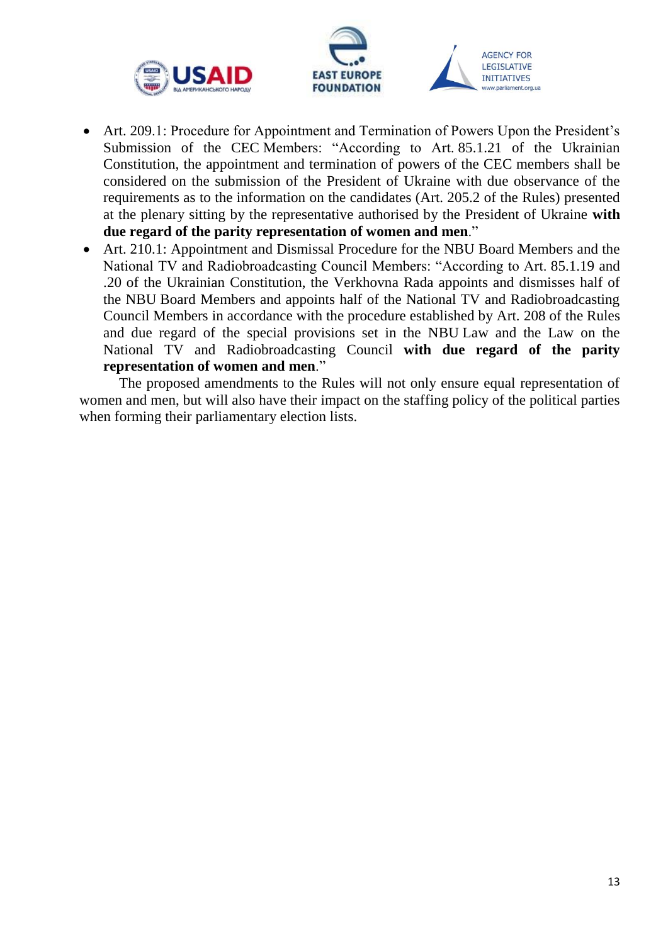



- Art. 209.1: Procedure for Appointment and Termination of Powers Upon the President's Submission of the CEC Members: "According to Art. 85.1.21 of the Ukrainian Constitution, the appointment and termination of powers of the CEC members shall be considered on the submission of the President of Ukraine with due observance of the requirements as to the information on the candidates (Art. 205.2 of the Rules) presented at the plenary sitting by the representative authorised by the President of Ukraine **with due regard of the parity representation of women and men**."
- Art. 210.1: Appointment and Dismissal Procedure for the NBU Board Members and the National TV and Radiobroadcasting Council Members: "According to Art. 85.1.19 and .20 of the Ukrainian Constitution, the Verkhovna Rada appoints and dismisses half of the NBU Board Members and appoints half of the National TV and Radiobroadcasting Council Members in accordance with the procedure established by Art. 208 of the Rules and due regard of the special provisions set in the NBU Law and the Law on the National TV and Radiobroadcasting Council **with due regard of the parity representation of women and men**."

The proposed amendments to the Rules will not only ensure equal representation of women and men, but will also have their impact on the staffing policy of the political parties when forming their parliamentary election lists.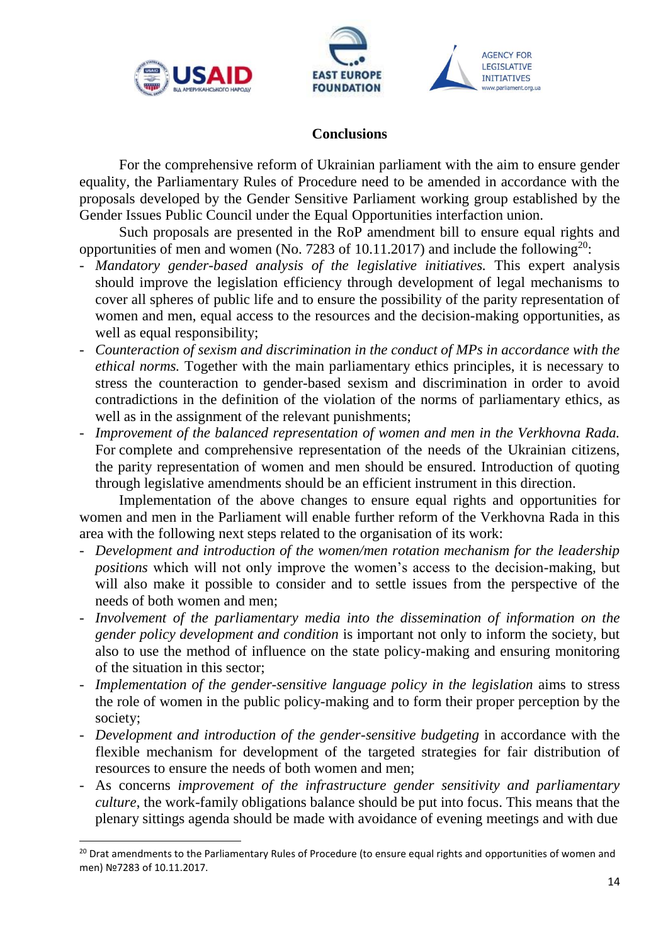

**.** 



#### **Conclusions**

<span id="page-13-0"></span>For the comprehensive reform of Ukrainian parliament with the aim to ensure gender equality, the Parliamentary Rules of Procedure need to be amended in accordance with the proposals developed by the Gender Sensitive Parliament working group established by the Gender Issues Public Council under the Equal Opportunities interfaction union.

Such proposals are presented in the RoP amendment bill to ensure equal rights and opportunities of men and women (No. 7283 of 10.11.2017) and include the following<sup>20</sup>:

- *Mandatory gender-based analysis of the legislative initiatives.* This expert analysis should improve the legislation efficiency through development of legal mechanisms to cover all spheres of public life and to ensure the possibility of the parity representation of women and men, equal access to the resources and the decision-making opportunities, as well as equal responsibility;
- *Counteraction of sexism and discrimination in the conduct of MPs in accordance with the ethical norms.* Together with the main parliamentary ethics principles, it is necessary to stress the counteraction to gender-based sexism and discrimination in order to avoid contradictions in the definition of the violation of the norms of parliamentary ethics, as well as in the assignment of the relevant punishments;
- *Improvement of the balanced representation of women and men in the Verkhovna Rada.*  For complete and comprehensive representation of the needs of the Ukrainian citizens, the parity representation of women and men should be ensured. Introduction of quoting through legislative amendments should be an efficient instrument in this direction.

Implementation of the above changes to ensure equal rights and opportunities for women and men in the Parliament will enable further reform of the Verkhovna Rada in this area with the following next steps related to the organisation of its work:

- Development and introduction of the women/men rotation mechanism for the leadership *positions* which will not only improve the women's access to the decision-making, but will also make it possible to consider and to settle issues from the perspective of the needs of both women and men;
- *Involvement of the parliamentary media into the dissemination of information on the gender policy development and condition* is important not only to inform the society, but also to use the method of influence on the state policy-making and ensuring monitoring of the situation in this sector;
- *Implementation of the gender-sensitive language policy in the legislation* aims to stress the role of women in the public policy-making and to form their proper perception by the society;
- *Development and introduction of the gender-sensitive budgeting* in accordance with the flexible mechanism for development of the targeted strategies for fair distribution of resources to ensure the needs of both women and men;
- As concerns *improvement of the infrastructure gender sensitivity and parliamentary culture*, the work-family obligations balance should be put into focus. This means that the plenary sittings agenda should be made with avoidance of evening meetings and with due

<sup>&</sup>lt;sup>20</sup> Drat amendments to the Parliamentary Rules of Procedure (to ensure equal rights and opportunities of women and men) №7283 of 10.11.2017.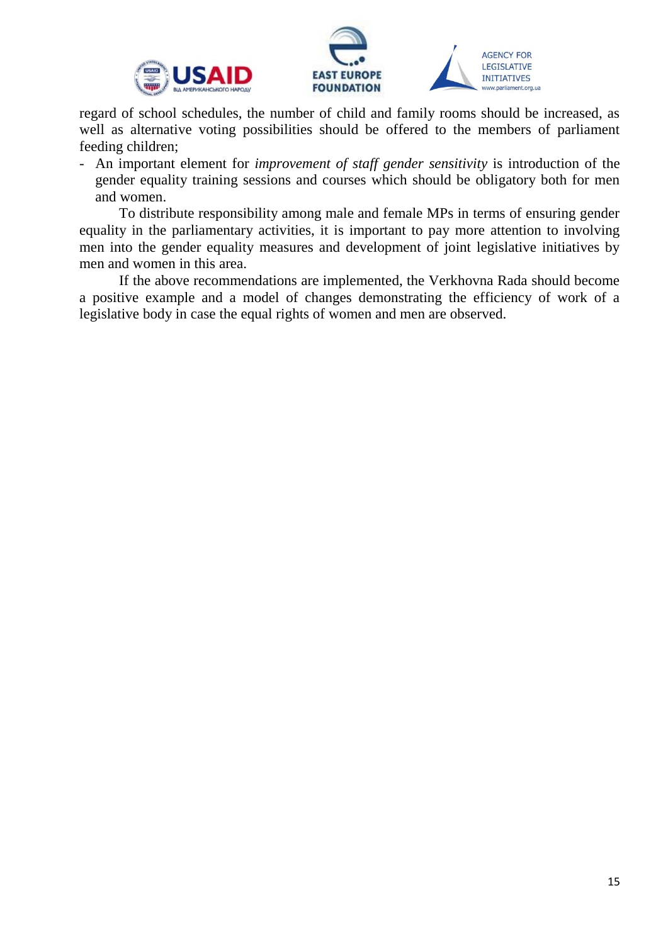





regard of school schedules, the number of child and family rooms should be increased, as well as alternative voting possibilities should be offered to the members of parliament feeding children;

- An important element for *improvement of staff gender sensitivity* is introduction of the gender equality training sessions and courses which should be obligatory both for men and women.

To distribute responsibility among male and female MPs in terms of ensuring gender equality in the parliamentary activities, it is important to pay more attention to involving men into the gender equality measures and development of joint legislative initiatives by men and women in this area.

If the above recommendations are implemented, the Verkhovna Rada should become a positive example and a model of changes demonstrating the efficiency of work of a legislative body in case the equal rights of women and men are observed.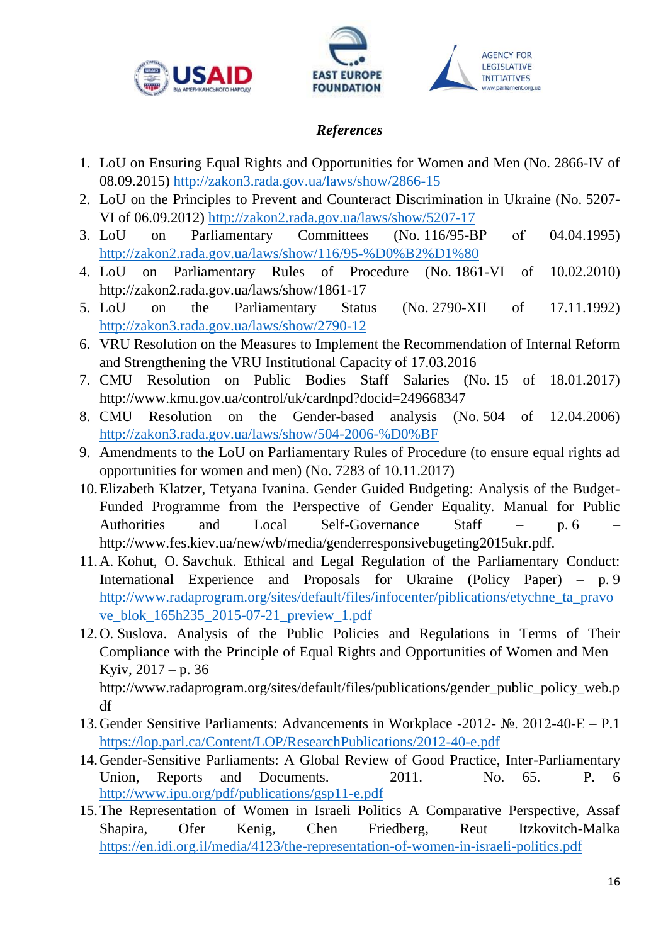



## *References*

- 1. LoU on Ensuring Equal Rights and Opportunities for Women and Men (No. 2866-IV of 08.09.2015)<http://zakon3.rada.gov.ua/laws/show/2866-15>
- 2. LoU on the Principles to Prevent and Counteract Discrimination in Ukraine (No. 5207- VI of 06.09.2012) <http://zakon2.rada.gov.ua/laws/show/5207-17>
- 3. LoU on Parliamentary Committees (No. 116/95-BP of 04.04.1995) <http://zakon2.rada.gov.ua/laws/show/116/95-%D0%B2%D1%80>
- 4. LoU on Parliamentary Rules of Procedure (No. 1861-VI of 10.02.2010) http://zakon2.rada.gov.ua/laws/show/1861-17
- 5. LoU on the Parliamentary Status (No. 2790-XII of 17.11.1992) <http://zakon3.rada.gov.ua/laws/show/2790-12>
- 6. VRU Resolution on the Measures to Implement the Recommendation of Internal Reform and Strengthening the VRU Institutional Capacity of 17.03.2016
- 7. CMU Resolution on Public Bodies Staff Salaries (No. 15 of 18.01.2017) http://www.kmu.gov.ua/control/uk/cardnpd?docid=249668347
- 8. CMU Resolution on the Gender-based analysis (No. 504 of 12.04.2006) <http://zakon3.rada.gov.ua/laws/show/504-2006-%D0%BF>
- 9. Amendments to the LoU on Parliamentary Rules of Procedure (to ensure equal rights ad opportunities for women and men) (No. 7283 of 10.11.2017)
- 10.Elizabeth Klatzer, Tetyana Ivanina. Gender Guided Budgeting: Analysis of the Budget-Funded Programme from the Perspective of Gender Equality. Manual for Public Authorities and Local Self-Governance Staff – p. 6 – http://www.fes.kiev.ua/new/wb/media/genderresponsivebugeting2015ukr.pdf.
- 11.A. Kohut, O. Savchuk. Ethical and Legal Regulation of the Parliamentary Conduct: International Experience and Proposals for Ukraine (Policy Paper) – p. 9 [http://www.radaprogram.org/sites/default/files/infocenter/piblications/etychne\\_ta\\_pravo](http://www.radaprogram.org/sites/default/files/infocenter/piblications/etychne_ta_pravove_blok_165h235_2015-07-21_preview_1.pdf) [ve\\_blok\\_165h235\\_2015-07-21\\_preview\\_1.pdf](http://www.radaprogram.org/sites/default/files/infocenter/piblications/etychne_ta_pravove_blok_165h235_2015-07-21_preview_1.pdf)
- 12.O. Suslova. Analysis of the Public Policies and Regulations in Terms of Their Compliance with the Principle of Equal Rights and Opportunities of Women and Men – Kyiv,  $2017 - p.$  36 http://www.radaprogram.org/sites/default/files/publications/gender\_public\_policy\_web.p df
- 13.Gender Sensitive Parliaments: Advancements in Workplace -2012- №. 2012-40-E P.1 <https://lop.parl.ca/Content/LOP/ResearchPublications/2012-40-e.pdf>
- 14.Gender-Sensitive Parliaments: A Global Review of Good Practice, Inter-Parliamentary Union, Reports and Documents. – 2011. – No. 65. – P. 6 <http://www.ipu.org/pdf/publications/gsp11-e.pdf>
- 15.The Representation of Women in Israeli Politics A Comparative Perspective, Assaf Shapira, Ofer Kenig, Chen Friedberg, Reut Itzkovitch-Malka <https://en.idi.org.il/media/4123/the-representation-of-women-in-israeli-politics.pdf>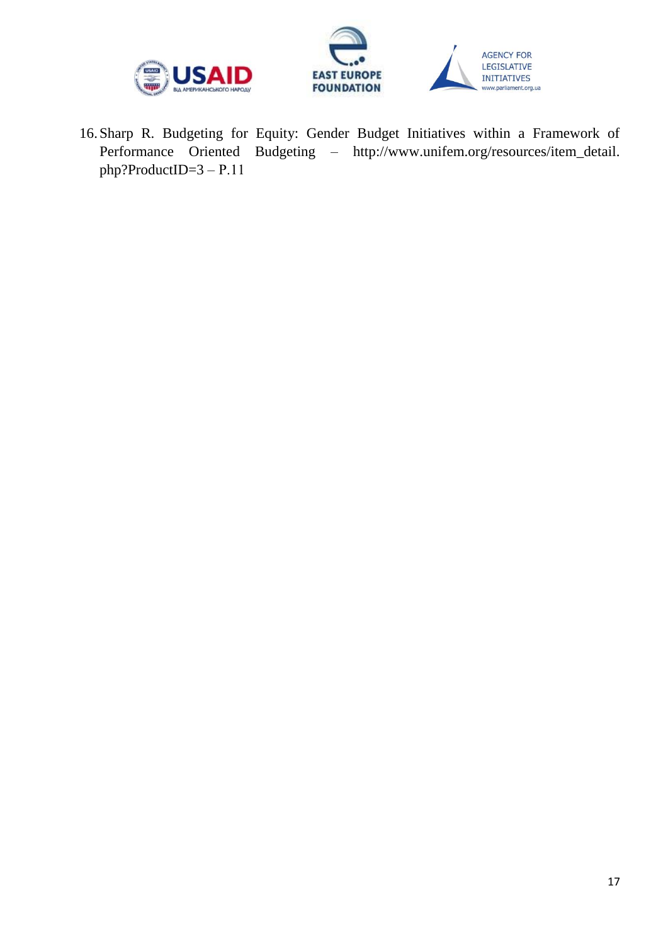



16.Sharp R. Budgeting for Equity: Gender Budget Initiatives within a Framework of Performance Oriented Budgeting – http://www.unifem.org/resources/item\_detail. php?ProductID=3 – Р.11